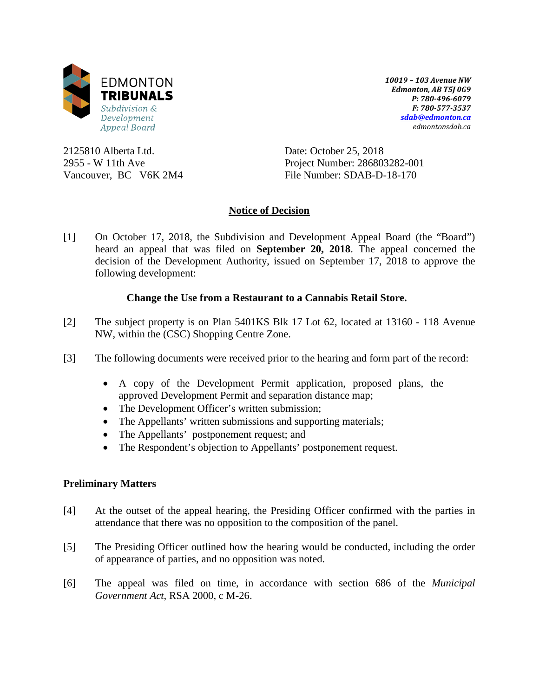

*10019 – 103 Avenue NW Edmonton, AB T5J 0G9 P: 780-496-6079 F: 780-577-3537 [sdab@edmonton.ca](mailto:sdab@edmonton.ca) edmontonsdab.ca*

2125810 Alberta Ltd. 2955 - W 11th Ave Vancouver, BC V6K 2M4 Date: October 25, 2018 Project Number: 286803282-001 File Number: SDAB-D-18-170

## **Notice of Decision**

[1] On October 17, 2018, the Subdivision and Development Appeal Board (the "Board") heard an appeal that was filed on **September 20, 2018**. The appeal concerned the decision of the Development Authority, issued on September 17, 2018 to approve the following development:

## **Change the Use from a Restaurant to a Cannabis Retail Store.**

- [2] The subject property is on Plan 5401KS Blk 17 Lot 62, located at 13160 118 Avenue NW, within the (CSC) Shopping Centre Zone.
- [3] The following documents were received prior to the hearing and form part of the record:
	- A copy of the Development Permit application, proposed plans, the approved Development Permit and separation distance map;
	- The Development Officer's written submission;
	- The Appellants' written submissions and supporting materials;
	- The Appellants' postponement request; and
	- The Respondent's objection to Appellants' postponement request.

## **Preliminary Matters**

- [4] At the outset of the appeal hearing, the Presiding Officer confirmed with the parties in attendance that there was no opposition to the composition of the panel.
- [5] The Presiding Officer outlined how the hearing would be conducted, including the order of appearance of parties, and no opposition was noted.
- [6] The appeal was filed on time, in accordance with section 686 of the *Municipal Government Act*, RSA 2000, c M-26.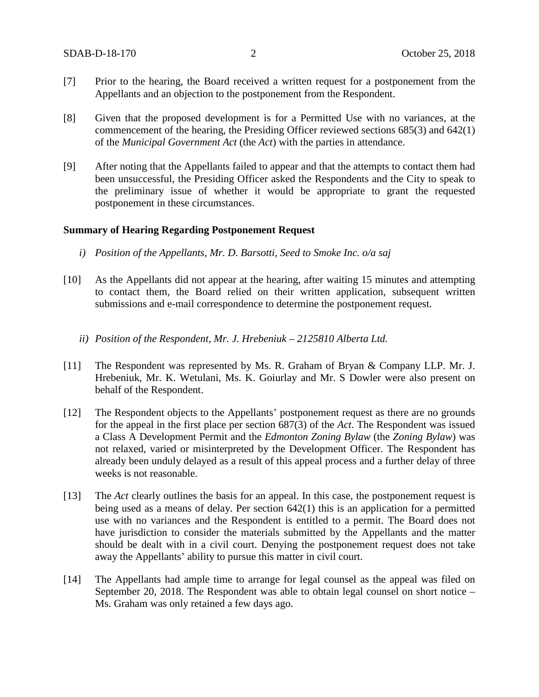- [7] Prior to the hearing, the Board received a written request for a postponement from the Appellants and an objection to the postponement from the Respondent.
- [8] Given that the proposed development is for a Permitted Use with no variances, at the commencement of the hearing, the Presiding Officer reviewed sections 685(3) and 642(1) of the *Municipal Government Act* (the *Act*) with the parties in attendance.
- [9] After noting that the Appellants failed to appear and that the attempts to contact them had been unsuccessful, the Presiding Officer asked the Respondents and the City to speak to the preliminary issue of whether it would be appropriate to grant the requested postponement in these circumstances.

#### **Summary of Hearing Regarding Postponement Request**

- *i) Position of the Appellants, Mr. D. Barsotti, Seed to Smoke Inc. o/a saj*
- [10] As the Appellants did not appear at the hearing, after waiting 15 minutes and attempting to contact them, the Board relied on their written application, subsequent written submissions and e-mail correspondence to determine the postponement request.
	- *ii) Position of the Respondent, Mr. J. Hrebeniuk – 2125810 Alberta Ltd.*
- [11] The Respondent was represented by Ms. R. Graham of Bryan & Company LLP. Mr. J. Hrebeniuk, Mr. K. Wetulani, Ms. K. Goiurlay and Mr. S Dowler were also present on behalf of the Respondent.
- [12] The Respondent objects to the Appellants' postponement request as there are no grounds for the appeal in the first place per section 687(3) of the *Act*. The Respondent was issued a Class A Development Permit and the *Edmonton Zoning Bylaw* (the *Zoning Bylaw*) was not relaxed, varied or misinterpreted by the Development Officer. The Respondent has already been unduly delayed as a result of this appeal process and a further delay of three weeks is not reasonable.
- [13] The *Act* clearly outlines the basis for an appeal. In this case, the postponement request is being used as a means of delay. Per section 642(1) this is an application for a permitted use with no variances and the Respondent is entitled to a permit. The Board does not have jurisdiction to consider the materials submitted by the Appellants and the matter should be dealt with in a civil court. Denying the postponement request does not take away the Appellants' ability to pursue this matter in civil court.
- [14] The Appellants had ample time to arrange for legal counsel as the appeal was filed on September 20, 2018. The Respondent was able to obtain legal counsel on short notice – Ms. Graham was only retained a few days ago.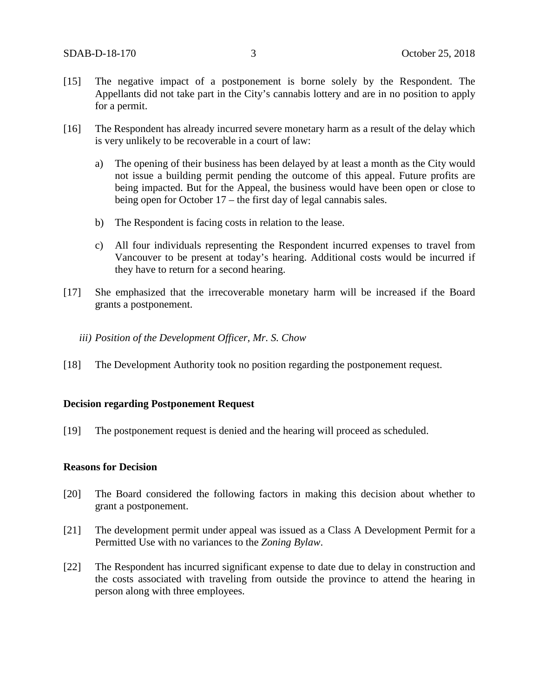- [15] The negative impact of a postponement is borne solely by the Respondent. The Appellants did not take part in the City's cannabis lottery and are in no position to apply for a permit.
- [16] The Respondent has already incurred severe monetary harm as a result of the delay which is very unlikely to be recoverable in a court of law:
	- a) The opening of their business has been delayed by at least a month as the City would not issue a building permit pending the outcome of this appeal. Future profits are being impacted. But for the Appeal, the business would have been open or close to being open for October 17 – the first day of legal cannabis sales.
	- b) The Respondent is facing costs in relation to the lease.
	- c) All four individuals representing the Respondent incurred expenses to travel from Vancouver to be present at today's hearing. Additional costs would be incurred if they have to return for a second hearing.
- [17] She emphasized that the irrecoverable monetary harm will be increased if the Board grants a postponement.
	- *iii) Position of the Development Officer, Mr. S. Chow*
- [18] The Development Authority took no position regarding the postponement request.

#### **Decision regarding Postponement Request**

[19] The postponement request is denied and the hearing will proceed as scheduled.

#### **Reasons for Decision**

- [20] The Board considered the following factors in making this decision about whether to grant a postponement.
- [21] The development permit under appeal was issued as a Class A Development Permit for a Permitted Use with no variances to the *Zoning Bylaw*.
- [22] The Respondent has incurred significant expense to date due to delay in construction and the costs associated with traveling from outside the province to attend the hearing in person along with three employees.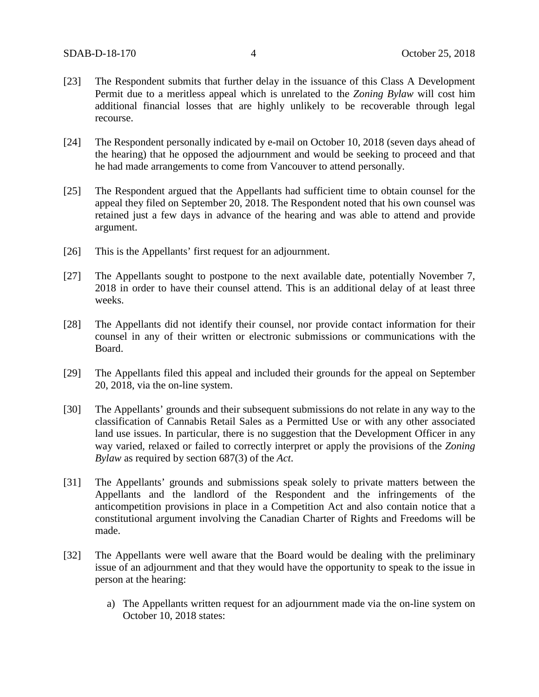- [23] The Respondent submits that further delay in the issuance of this Class A Development Permit due to a meritless appeal which is unrelated to the *Zoning Bylaw* will cost him additional financial losses that are highly unlikely to be recoverable through legal recourse.
- [24] The Respondent personally indicated by e-mail on October 10, 2018 (seven days ahead of the hearing) that he opposed the adjournment and would be seeking to proceed and that he had made arrangements to come from Vancouver to attend personally.
- [25] The Respondent argued that the Appellants had sufficient time to obtain counsel for the appeal they filed on September 20, 2018. The Respondent noted that his own counsel was retained just a few days in advance of the hearing and was able to attend and provide argument.
- [26] This is the Appellants' first request for an adjournment.
- [27] The Appellants sought to postpone to the next available date, potentially November 7, 2018 in order to have their counsel attend. This is an additional delay of at least three weeks.
- [28] The Appellants did not identify their counsel, nor provide contact information for their counsel in any of their written or electronic submissions or communications with the Board.
- [29] The Appellants filed this appeal and included their grounds for the appeal on September 20, 2018, via the on-line system.
- [30] The Appellants' grounds and their subsequent submissions do not relate in any way to the classification of Cannabis Retail Sales as a Permitted Use or with any other associated land use issues. In particular, there is no suggestion that the Development Officer in any way varied, relaxed or failed to correctly interpret or apply the provisions of the *Zoning Bylaw* as required by section 687(3) of the *Act*.
- [31] The Appellants' grounds and submissions speak solely to private matters between the Appellants and the landlord of the Respondent and the infringements of the anticompetition provisions in place in a Competition Act and also contain notice that a constitutional argument involving the Canadian Charter of Rights and Freedoms will be made.
- [32] The Appellants were well aware that the Board would be dealing with the preliminary issue of an adjournment and that they would have the opportunity to speak to the issue in person at the hearing:
	- a) The Appellants written request for an adjournment made via the on-line system on October 10, 2018 states: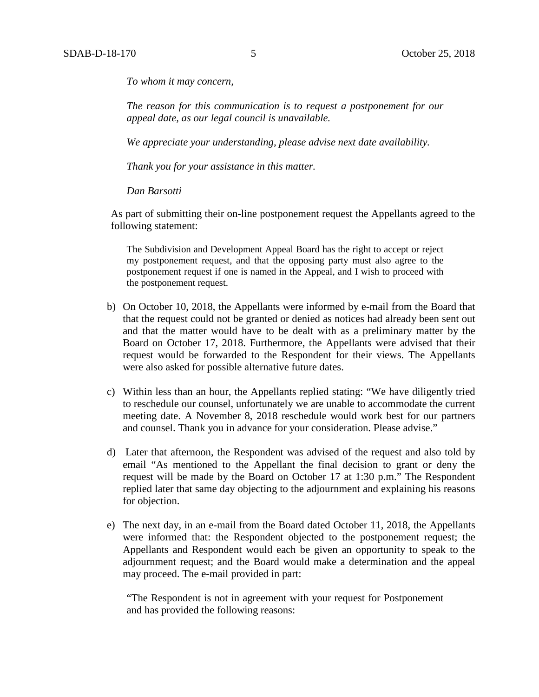*To whom it may concern,*

*The reason for this communication is to request a postponement for our appeal date, as our legal council is unavailable.* 

*We appreciate your understanding, please advise next date availability.* 

*Thank you for your assistance in this matter.*

*Dan Barsotti*

As part of submitting their on-line postponement request the Appellants agreed to the following statement:

The Subdivision and Development Appeal Board has the right to accept or reject my postponement request, and that the opposing party must also agree to the postponement request if one is named in the Appeal, and I wish to proceed with the postponement request.

- b) On October 10, 2018, the Appellants were informed by e-mail from the Board that that the request could not be granted or denied as notices had already been sent out and that the matter would have to be dealt with as a preliminary matter by the Board on October 17, 2018. Furthermore, the Appellants were advised that their request would be forwarded to the Respondent for their views. The Appellants were also asked for possible alternative future dates.
- c) Within less than an hour, the Appellants replied stating: "We have diligently tried to reschedule our counsel, unfortunately we are unable to accommodate the current meeting date. A November 8, 2018 reschedule would work best for our partners and counsel. Thank you in advance for your consideration. Please advise."
- d) Later that afternoon, the Respondent was advised of the request and also told by email "As mentioned to the Appellant the final decision to grant or deny the request will be made by the Board on October 17 at 1:30 p.m." The Respondent replied later that same day objecting to the adjournment and explaining his reasons for objection.
- e) The next day, in an e-mail from the Board dated October 11, 2018, the Appellants were informed that: the Respondent objected to the postponement request; the Appellants and Respondent would each be given an opportunity to speak to the adjournment request; and the Board would make a determination and the appeal may proceed. The e-mail provided in part:

"The Respondent is not in agreement with your request for Postponement and has provided the following reasons: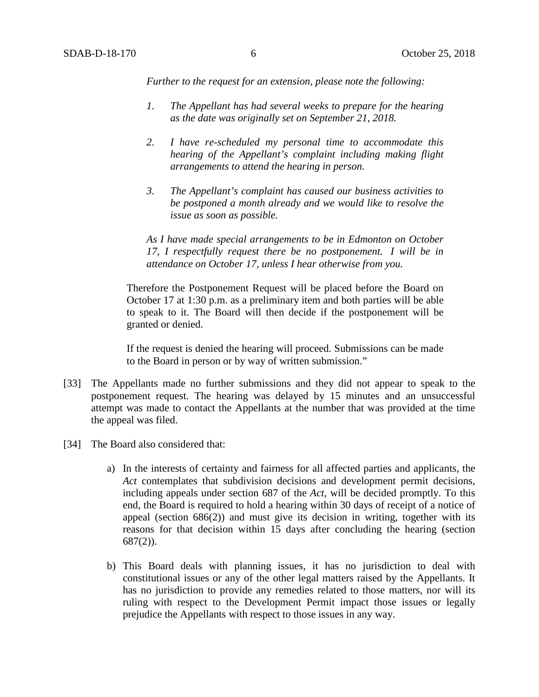*Further to the request for an extension, please note the following:*

- *1. The Appellant has had several weeks to prepare for the hearing as the date was originally set on September 21, 2018.*
- *2. I have re-scheduled my personal time to accommodate this hearing of the Appellant's complaint including making flight arrangements to attend the hearing in person.*
- *3. The Appellant's complaint has caused our business activities to be postponed a month already and we would like to resolve the issue as soon as possible.*

*As I have made special arrangements to be in Edmonton on October 17, I respectfully request there be no postponement. I will be in attendance on October 17, unless I hear otherwise from you.*

Therefore the Postponement Request will be placed before the Board on October 17 at 1:30 p.m. as a preliminary item and both parties will be able to speak to it. The Board will then decide if the postponement will be granted or denied.

If the request is denied the hearing will proceed. Submissions can be made to the Board in person or by way of written submission."

- [33] The Appellants made no further submissions and they did not appear to speak to the postponement request. The hearing was delayed by 15 minutes and an unsuccessful attempt was made to contact the Appellants at the number that was provided at the time the appeal was filed.
- [34] The Board also considered that:
	- a) In the interests of certainty and fairness for all affected parties and applicants, the *Act* contemplates that subdivision decisions and development permit decisions, including appeals under section 687 of the *Act*, will be decided promptly. To this end, the Board is required to hold a hearing within 30 days of receipt of a notice of appeal (section  $686(2)$ ) and must give its decision in writing, together with its reasons for that decision within 15 days after concluding the hearing (section 687(2)).
	- b) This Board deals with planning issues, it has no jurisdiction to deal with constitutional issues or any of the other legal matters raised by the Appellants. It has no jurisdiction to provide any remedies related to those matters, nor will its ruling with respect to the Development Permit impact those issues or legally prejudice the Appellants with respect to those issues in any way.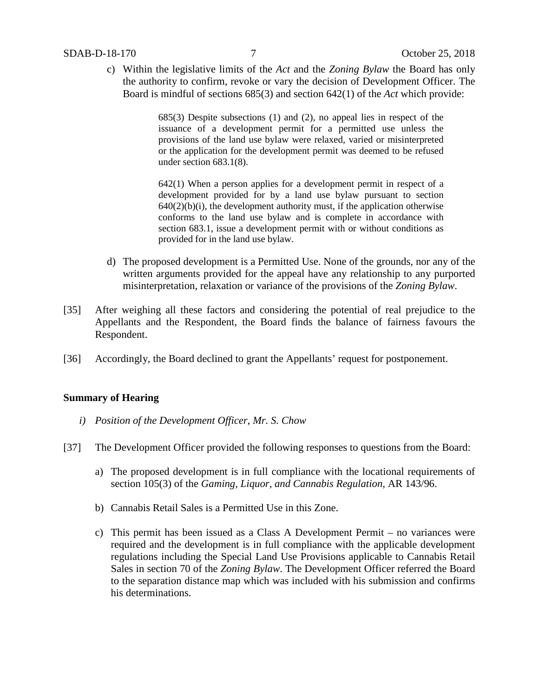#### SDAB-D-18-170 7 October 25, 2018

c) Within the legislative limits of the *Act* and the *Zoning Bylaw* the Board has only the authority to confirm, revoke or vary the decision of Development Officer. The Board is mindful of sections 685(3) and section 642(1) of the *Act* which provide:

> 685(3) Despite subsections (1) and (2), no appeal lies in respect of the issuance of a development permit for a permitted use unless the provisions of the land use bylaw were relaxed, varied or misinterpreted or the application for the development permit was deemed to be refused under section 683.1(8).

> 642(1) When a person applies for a development permit in respect of a development provided for by a land use bylaw pursuant to section  $640(2)(b)(i)$ , the development authority must, if the application otherwise conforms to the land use bylaw and is complete in accordance with section 683.1, issue a development permit with or without conditions as provided for in the land use bylaw.

- d) The proposed development is a Permitted Use. None of the grounds, nor any of the written arguments provided for the appeal have any relationship to any purported misinterpretation, relaxation or variance of the provisions of the *Zoning Bylaw*.
- [35] After weighing all these factors and considering the potential of real prejudice to the Appellants and the Respondent, the Board finds the balance of fairness favours the Respondent.
- [36] Accordingly, the Board declined to grant the Appellants' request for postponement.

#### **Summary of Hearing**

- *i) Position of the Development Officer, Mr. S. Chow*
- [37] The Development Officer provided the following responses to questions from the Board:
	- a) The proposed development is in full compliance with the locational requirements of section 105(3) of the *Gaming, Liquor, and Cannabis Regulation,* AR 143/96.
	- b) Cannabis Retail Sales is a Permitted Use in this Zone.
	- c) This permit has been issued as a Class A Development Permit no variances were required and the development is in full compliance with the applicable development regulations including the Special Land Use Provisions applicable to Cannabis Retail Sales in section 70 of the *Zoning Bylaw*. The Development Officer referred the Board to the separation distance map which was included with his submission and confirms his determinations.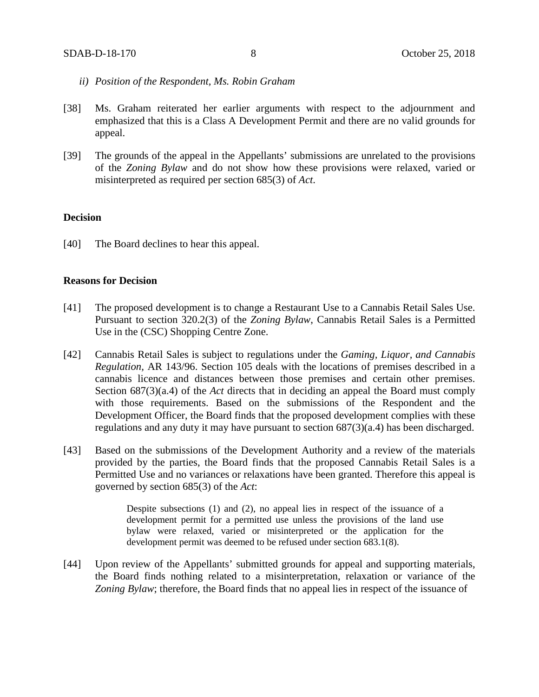- *ii) Position of the Respondent, Ms. Robin Graham*
- [38] Ms. Graham reiterated her earlier arguments with respect to the adjournment and emphasized that this is a Class A Development Permit and there are no valid grounds for appeal.
- [39] The grounds of the appeal in the Appellants' submissions are unrelated to the provisions of the *Zoning Bylaw* and do not show how these provisions were relaxed, varied or misinterpreted as required per section 685(3) of *Act*.

#### **Decision**

[40] The Board declines to hear this appeal.

#### **Reasons for Decision**

- [41] The proposed development is to change a Restaurant Use to a Cannabis Retail Sales Use. Pursuant to section 320.2(3) of the *Zoning Bylaw*, Cannabis Retail Sales is a Permitted Use in the (CSC) Shopping Centre Zone.
- [42] Cannabis Retail Sales is subject to regulations under the *Gaming, Liquor, and Cannabis Regulation,* AR 143/96. Section 105 deals with the locations of premises described in a cannabis licence and distances between those premises and certain other premises. Section 687(3)(a.4) of the *Act* directs that in deciding an appeal the Board must comply with those requirements. Based on the submissions of the Respondent and the Development Officer, the Board finds that the proposed development complies with these regulations and any duty it may have pursuant to section 687(3)(a.4) has been discharged.
- [43] Based on the submissions of the Development Authority and a review of the materials provided by the parties, the Board finds that the proposed Cannabis Retail Sales is a Permitted Use and no variances or relaxations have been granted. Therefore this appeal is governed by section 685(3) of the *Act*:

Despite subsections (1) and (2), no appeal lies in respect of the issuance of a development permit for a permitted use unless the provisions of the land use bylaw were relaxed, varied or misinterpreted or the application for the development permit was deemed to be refused under section 683.1(8).

[44] Upon review of the Appellants' submitted grounds for appeal and supporting materials, the Board finds nothing related to a misinterpretation, relaxation or variance of the *Zoning Bylaw*; therefore, the Board finds that no appeal lies in respect of the issuance of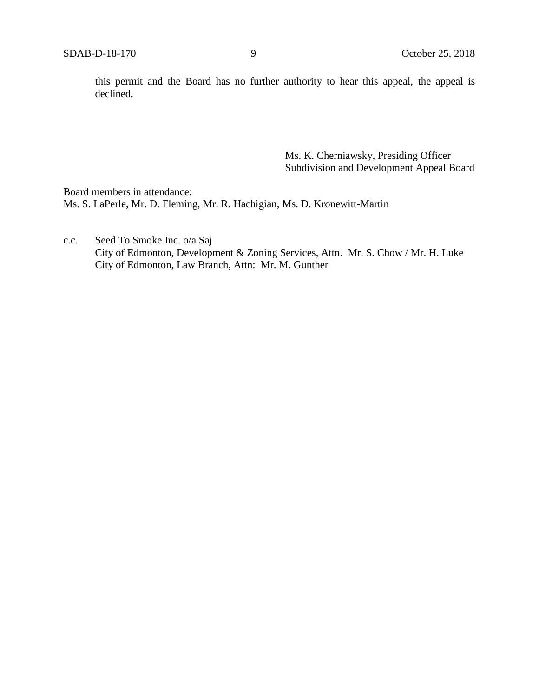this permit and the Board has no further authority to hear this appeal, the appeal is declined.

> Ms. K. Cherniawsky, Presiding Officer Subdivision and Development Appeal Board

Board members in attendance: Ms. S. LaPerle, Mr. D. Fleming, Mr. R. Hachigian, Ms. D. Kronewitt-Martin

c.c. Seed To Smoke Inc. o/a Saj City of Edmonton, Development & Zoning Services, Attn. Mr. S. Chow / Mr. H. Luke City of Edmonton, Law Branch, Attn: Mr. M. Gunther